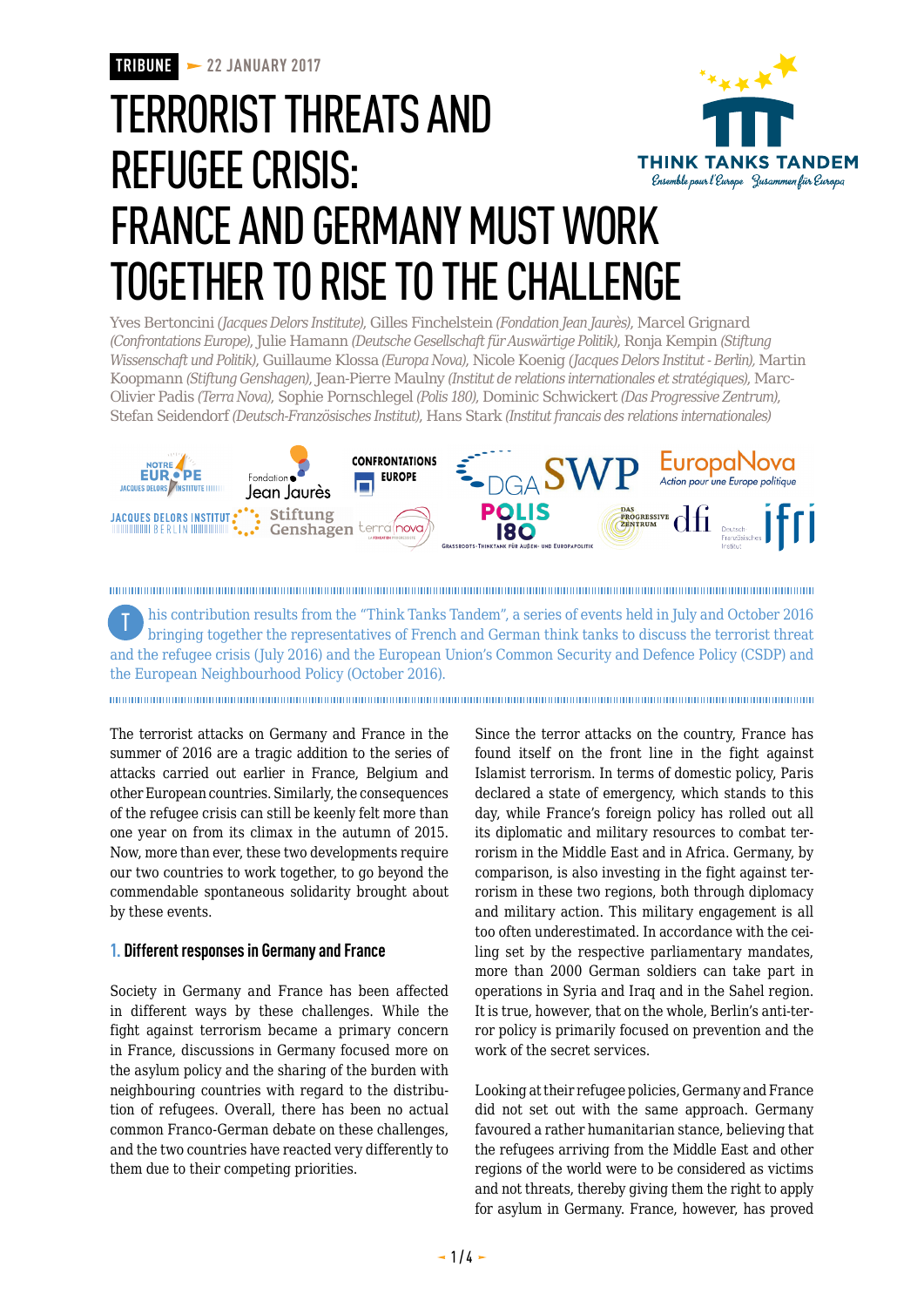# TERRORIST THREATS AND REFUGEE CRISIS: **THINK TANKS TANDEM** Ensemble pour l'Europe Jusammen für Europa FRANCE AND GERMANY MUST WORK TOGETHER TO RISE TO THE CHALLENGE

Yves Bertoncini *(Jacques Delors Institute)*, Gilles Finchelstein *(Fondation Jean Jaurès)*, Marcel Grignard *(Confrontations Europe)*, Julie Hamann *(Deutsche Gesellschaft für Auswärtige Politik)*, Ronja Kempin *(Stiftung Wissenschaft und Politik)*, Guillaume Klossa *(Europa Nova)*, Nicole Koenig *(Jacques Delors Institut - Berlin),* Martin Koopmann *(Stiftung Genshagen)*, Jean-Pierre Maulny *(Institut de relations internationales et stratégiques)*, Marc-Olivier Padis *(Terra Nova)*, Sophie Pornschlegel *(Polis 180)*, Dominic Schwickert *(Das Progressive Zentrum)*, Stefan Seidendorf *(Deutsch-Französisches Institut)*, Hans Stark *(Institut francais des relations internationales)*



his contribution results from the "Think Tanks Tandem", a series of events held in July and October 2016 bringing together the representatives of French and German think tanks to discuss the terrorist threat and the refugee crisis (July 2016) and the European Union's Common Security and Defence Policy (CSDP) and the European Neighbourhood Policy (October 2016). T

The terrorist attacks on Germany and France in the summer of 2016 are a tragic addition to the series of attacks carried out earlier in France, Belgium and other European countries. Similarly, the consequences of the refugee crisis can still be keenly felt more than one year on from its climax in the autumn of 2015. Now, more than ever, these two developments require our two countries to work together, to go beyond the commendable spontaneous solidarity brought about by these events.

#### **1. Different responses in Germany and France**

Society in Germany and France has been affected in different ways by these challenges. While the fight against terrorism became a primary concern in France, discussions in Germany focused more on the asylum policy and the sharing of the burden with neighbouring countries with regard to the distribution of refugees. Overall, there has been no actual common Franco-German debate on these challenges, and the two countries have reacted very differently to them due to their competing priorities.

Since the terror attacks on the country, France has found itself on the front line in the fight against Islamist terrorism. In terms of domestic policy, Paris declared a state of emergency, which stands to this day, while France's foreign policy has rolled out all its diplomatic and military resources to combat terrorism in the Middle East and in Africa. Germany, by comparison, is also investing in the fight against terrorism in these two regions, both through diplomacy and military action. This military engagement is all too often underestimated. In accordance with the ceiling set by the respective parliamentary mandates, more than 2000 German soldiers can take part in operations in Syria and Iraq and in the Sahel region. It is true, however, that on the whole, Berlin's anti-terror policy is primarily focused on prevention and the work of the secret services.

Looking at their refugee policies, Germany and France did not set out with the same approach. Germany favoured a rather humanitarian stance, believing that the refugees arriving from the Middle East and other regions of the world were to be considered as victims and not threats, thereby giving them the right to apply for asylum in Germany. France, however, has proved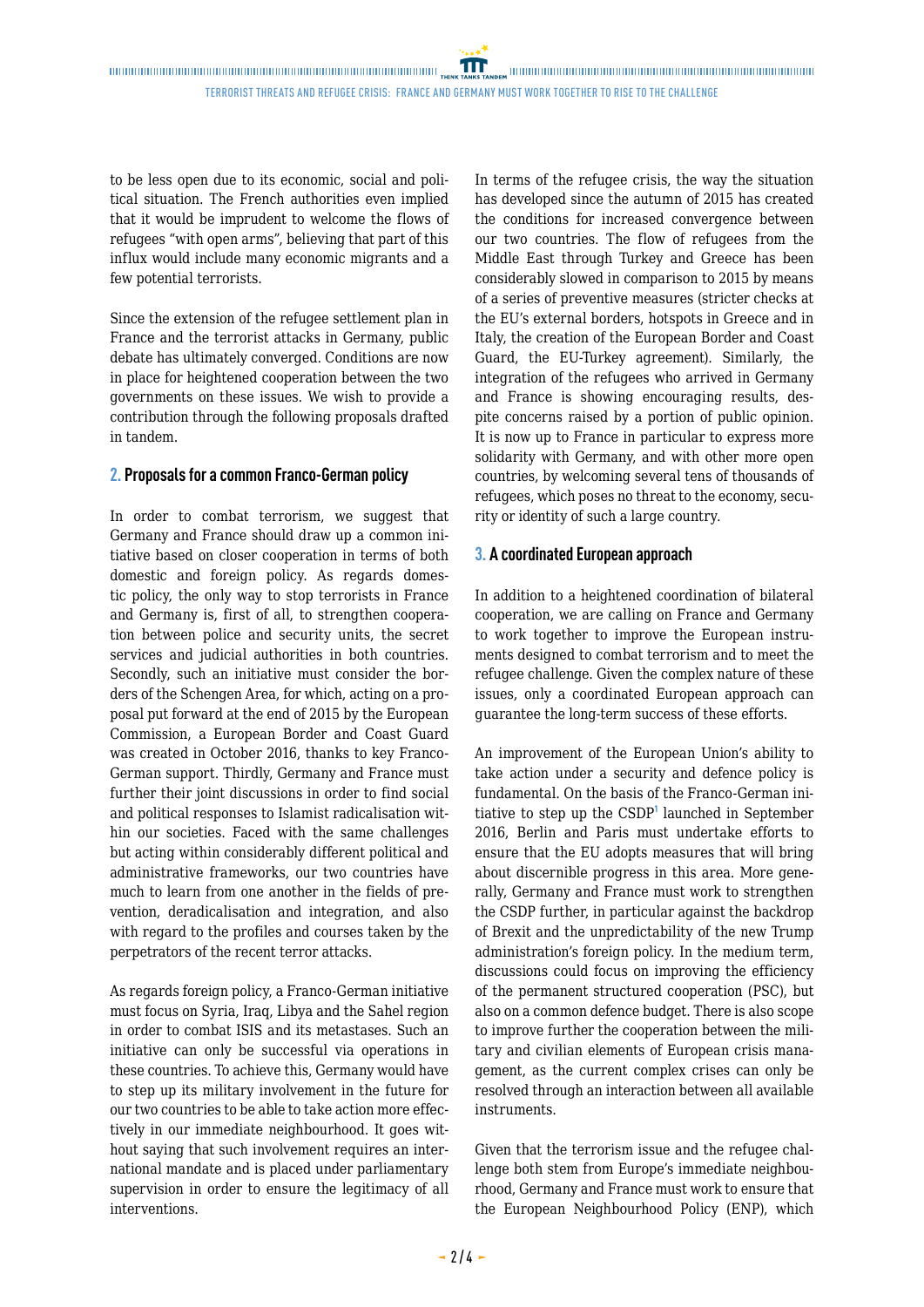TERRORIST THREATS AND REFUGEE CRISIS: FRANCE AND GERMANY MUsT WORK TOGETHER TO RISE TO THE CHALLENGE

to be less open due to its economic, social and political situation. The French authorities even implied that it would be imprudent to welcome the flows of refugees "with open arms", believing that part of this influx would include many economic migrants and a few potential terrorists.

Since the extension of the refugee settlement plan in France and the terrorist attacks in Germany, public debate has ultimately converged. Conditions are now in place for heightened cooperation between the two governments on these issues. We wish to provide a contribution through the following proposals drafted in tandem.

#### **2. Proposals for a common Franco-German policy**

In order to combat terrorism, we suggest that Germany and France should draw up a common initiative based on closer cooperation in terms of both domestic and foreign policy. As regards domestic policy, the only way to stop terrorists in France and Germany is, first of all, to strengthen cooperation between police and security units, the secret services and judicial authorities in both countries. Secondly, such an initiative must consider the borders of the Schengen Area, for which, acting on a proposal put forward at the end of 2015 by the European Commission, a European Border and Coast Guard was created in October 2016, thanks to key Franco-German support. Thirdly, Germany and France must further their joint discussions in order to find social and political responses to Islamist radicalisation within our societies. Faced with the same challenges but acting within considerably different political and administrative frameworks, our two countries have much to learn from one another in the fields of prevention, deradicalisation and integration, and also with regard to the profiles and courses taken by the perpetrators of the recent terror attacks.

As regards foreign policy, a Franco-German initiative must focus on Syria, Iraq, Libya and the Sahel region in order to combat ISIS and its metastases. Such an initiative can only be successful via operations in these countries. To achieve this, Germany would have to step up its military involvement in the future for our two countries to be able to take action more effectively in our immediate neighbourhood. It goes without saying that such involvement requires an international mandate and is placed under parliamentary supervision in order to ensure the legitimacy of all interventions.

In terms of the refugee crisis, the way the situation has developed since the autumn of 2015 has created the conditions for increased convergence between our two countries. The flow of refugees from the Middle East through Turkey and Greece has been considerably slowed in comparison to 2015 by means of a series of preventive measures (stricter checks at the EU's external borders, hotspots in Greece and in Italy, the creation of the European Border and Coast Guard, the EU-Turkey agreement). Similarly, the integration of the refugees who arrived in Germany and France is showing encouraging results, despite concerns raised by a portion of public opinion. It is now up to France in particular to express more solidarity with Germany, and with other more open countries, by welcoming several tens of thousands of refugees, which poses no threat to the economy, security or identity of such a large country.

#### **3. A coordinated European approach**

In addition to a heightened coordination of bilateral cooperation, we are calling on France and Germany to work together to improve the European instruments designed to combat terrorism and to meet the refugee challenge. Given the complex nature of these issues, only a coordinated European approach can guarantee the long-term success of these efforts.

An improvement of the European Union's ability to take action under a security and defence policy is fundamental. On the basis of the Franco-German initiative to step up the CSDP<sup>1</sup> launched in September 2016, Berlin and Paris must undertake efforts to ensure that the EU adopts measures that will bring about discernible progress in this area. More generally, Germany and France must work to strengthen the CSDP further, in particular against the backdrop of Brexit and the unpredictability of the new Trump administration's foreign policy. In the medium term, discussions could focus on improving the efficiency of the permanent structured cooperation (PSC), but also on a common defence budget. There is also scope to improve further the cooperation between the military and civilian elements of European crisis management, as the current complex crises can only be resolved through an interaction between all available instruments.

Given that the terrorism issue and the refugee challenge both stem from Europe's immediate neighbourhood, Germany and France must work to ensure that the European Neighbourhood Policy (ENP), which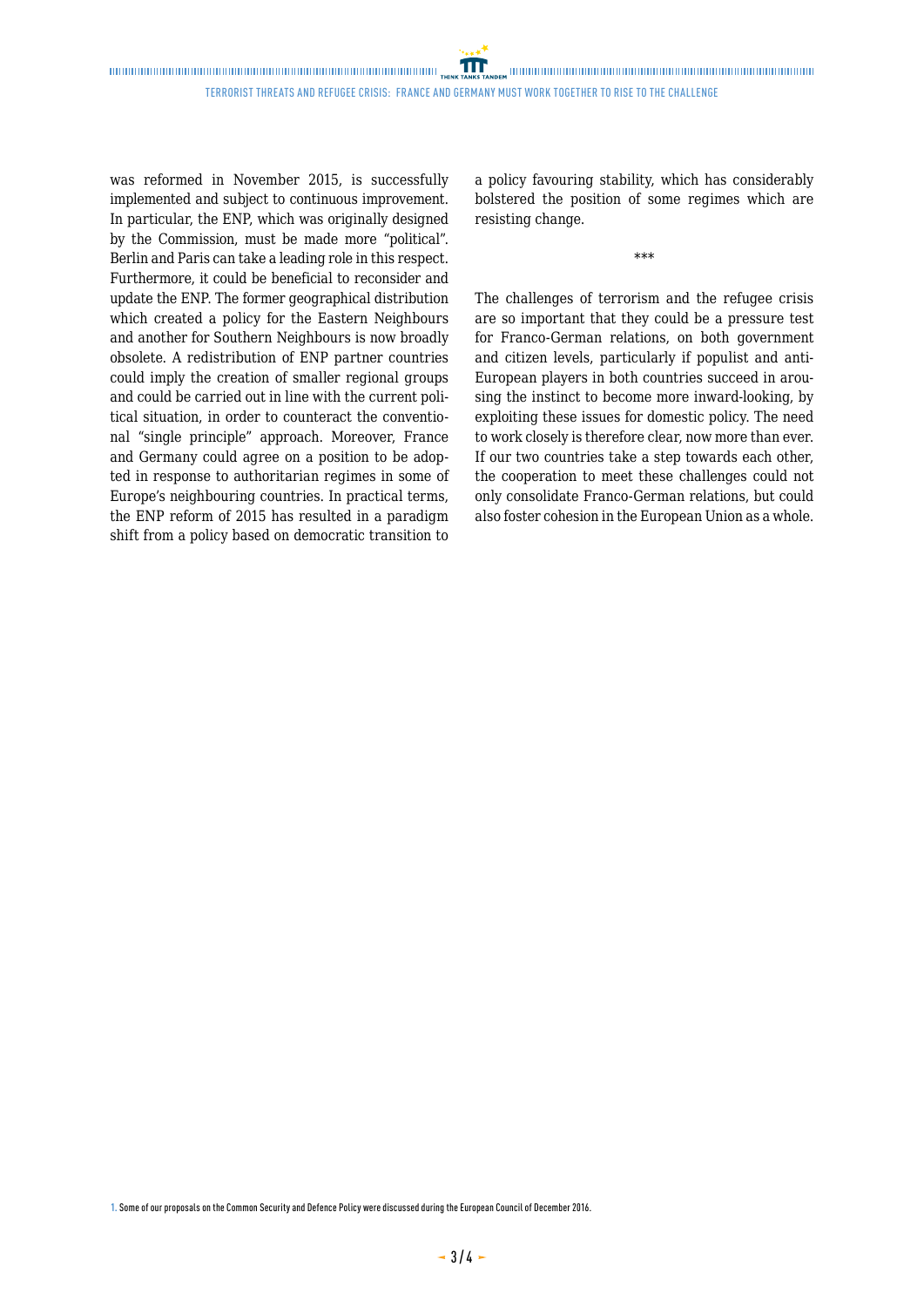was reformed in November 2015, is successfully implemented and subject to continuous improvement. In particular, the ENP, which was originally designed by the Commission, must be made more "political". Berlin and Paris can take a leading role in this respect. Furthermore, it could be beneficial to reconsider and update the ENP. The former geographical distribution which created a policy for the Eastern Neighbours and another for Southern Neighbours is now broadly obsolete. A redistribution of ENP partner countries could imply the creation of smaller regional groups and could be carried out in line with the current political situation, in order to counteract the conventional "single principle" approach. Moreover, France and Germany could agree on a position to be adopted in response to authoritarian regimes in some of Europe's neighbouring countries. In practical terms, the ENP reform of 2015 has resulted in a paradigm shift from a policy based on democratic transition to a policy favouring stability, which has considerably bolstered the position of some regimes which are resisting change.

\*\*\*

The challenges of terrorism and the refugee crisis are so important that they could be a pressure test for Franco-German relations, on both government and citizen levels, particularly if populist and anti-European players in both countries succeed in arousing the instinct to become more inward-looking, by exploiting these issues for domestic policy. The need to work closely is therefore clear, now more than ever. If our two countries take a step towards each other, the cooperation to meet these challenges could not only consolidate Franco-German relations, but could also foster cohesion in the European Union as a whole.